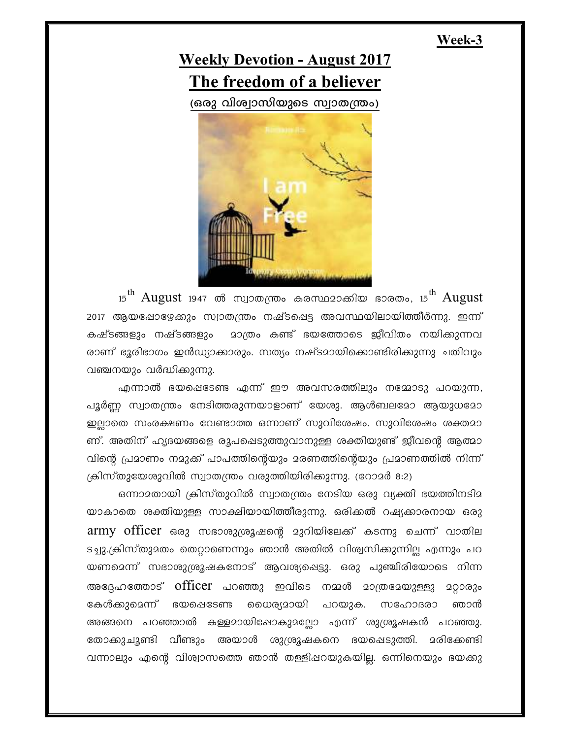## **Week-3**



 $_{15}^{\rm th}$  August  $_{1947}$  ൽ സ്വാതന്ത്രം കരസ്ഥദാക്കിയ ഭാരതം,  $_{15}^{\rm th}$  August 2017 ആയപ്പോഴ്യേക്കും സ്വാതന്ത്രം നഷ്ടപ്പെട്ട അവസ്ഥയിലായിത്തീർന്നു. ഇന്ന് കഷ്ടങ്ങളും നഷ്ടങ്ങളും മാത്രം കണ്ട് ഭയത്തോടെ ജീവിതം നയിക്കുന്നവ രാണ് ഭൂരിഭാഗം ഇൻഡ്യാക്കാരും. സത്യം നഷ്ടമായിക്കൊണ്ടിരിക്കുന്നു ചതിവും വഞ്ചനയും വർദ്ധിക്കുന്നു.

എന്നാൽ ഭയപ്പെടേണ്ട എന്ന് ഈ അവസരത്തിലും നമ്മോടു പറയുന്ന, പൂർണ്ണ സ്വാതന്ത്രം നേടിത്തരുന്നയാളാണ് യേശു. ആൾബലമോ ആയുധമോ ഇല്ലാതെ സംരക്ഷണം വേണ്ടാത്ത ഒന്നാണ് സുവിശേഷം. സുവിശേഷം ശക്തമാ ണ്. അതിന് ഹൃദയങ്ങളെ രൂപപ്പെടുത്തുവാനുള്ള ശക്തിയുണ്ട് ജീവന്റെ ആത്മാ വിന്റെ പ്രമാണം നമുക്ക് പാപത്തിന്റെയും മരണത്തിന്റെയും പ്രമാണത്തിൽ നിന്ന് ക്രിസ്തുയേശുവിൽ സ്വാതന്ത്രം വരുത്തിയിരിക്കുന്നു. (റോമർ 8:2)

ഒന്നാ $2$ തായി ക്രിസ്തുവിൽ സ്വാതന്ത്രം നേടിയ ഒരു വ്യക്തി ഭയത്തിനടി $2$ യാകാതെ ശക്തിയുള്ള സാക്ഷിയായിത്തീരുന്നു. ഒരിക്കൽ റഷ്യക്കാരനായ ഒരു  $\mathop{\mathrm{army}}$  officer ഒരു സഭാശുശ്രൂഷന്റെ മുറിയിലേക്ക് കടന്നു ചെന്ന് വാതില ടച്ചു.ക്രിസ്തുമതം തെറ്റാണെന്നും ഞാൻ അതിൽ വിശ്വസിക്കുന്നില്ല എന്നും പറ യണമെന്ന് സഭാശുശ്രൂഷകനോട് ആവശ്യപ്പെട്ടു. ഒരു പുഞ്ചിരിയോടെ നിന്ന അദ്ദേഹത്തോട് officer പറഞ്ഞു ഇവിടെ നമ്മൾ മാത്രമേയുള്ളു മറ്റാരും ഭകൾക്കുമെന്ന് ഭയപ്പെടേണ്ട ധൈര്യമായി പറയുക. സഹോദരാ ഞാൻ അങ്ങനെ പറഞ്ഞാൽ കള്ളമായിഷോകുമല്ലോ എന്ന് ശുശ്രൂഷകൻ പറഞ്ഞു. ്രോക്കുചൂണ്ടി വീണ്ടും അയാൾ ശുശ്രൂഷകനെ ഭയപ്പെടുത്തി. മരിക്കേണ്ടി വന്നാലും എന്റെ വിശ്വാസത്തെ ഞാൻ തള്ളിഷറയുകയില്ല. ഒന്നിനെയും ഭയക്കു